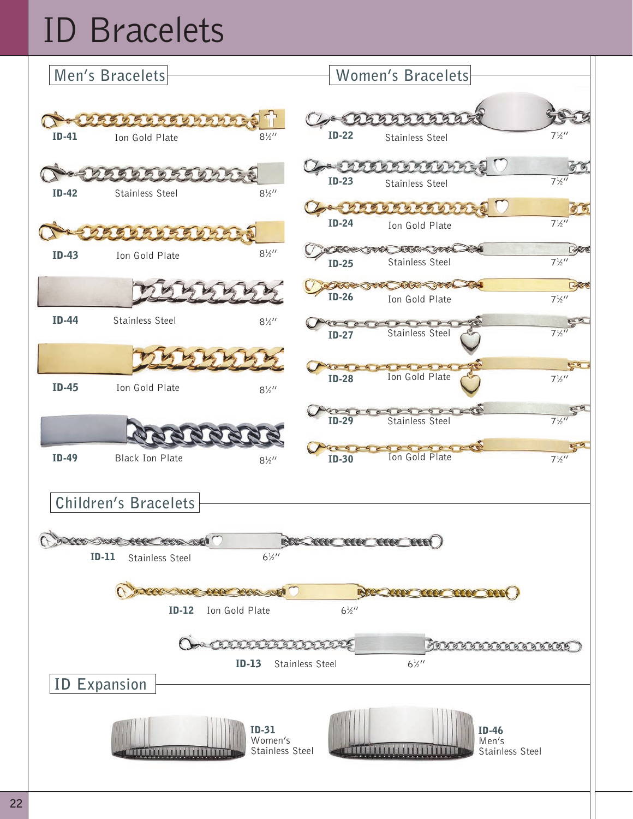## ID Bracelets